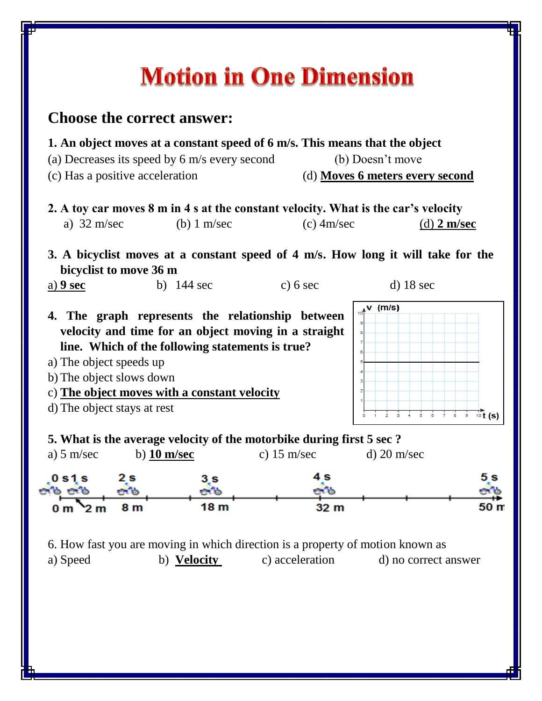## **Motion in One Dimension**

## **Choose the correct answer:**

- **1. An object moves at a constant speed of 6 m/s. This means that the object**
- (a) Decreases its speed by 6 m/s every second (b) Doesn't move
- (c) Has a positive acceleration (d) **Moves 6 meters every second**
- **2. A toy car moves 8 m in 4 s at the constant velocity. What is the car's velocity** a) 32 m/sec (b) 1 m/sec (c) 4m/sec (d) **2 m/sec**
- **3. A bicyclist moves at a constant speed of 4 m/s. How long it will take for the bicyclist to move 36 m**
- a) **9 sec** b) 144 sec c) 6 sec d) 18 sec
- **4. The graph represents the relationship between velocity and time for an object moving in a straight line. Which of the following statements is true?**
- a) The object speeds up
- b) The object slows down
- c) **The object moves with a constant velocity**
- d) The object stays at rest



**5. What is the average velocity of the motorbike during first 5 sec ?**



6. How fast you are moving in which direction is a property of motion known as a) Speed b) **Velocity** c) acceleration d) no correct answer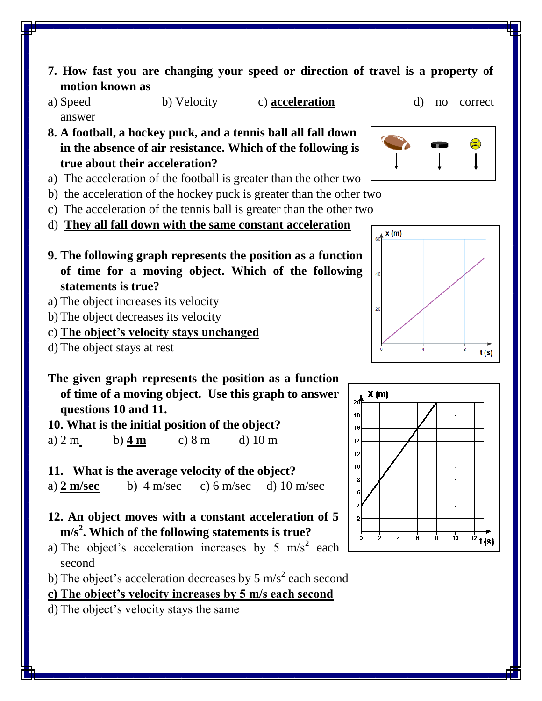- **7. How fast you are changing your speed or direction of travel is a property of motion known as**
- a) Speed b) Velocity c) **acceleration** d) no correct answer
- **8. A football, a hockey puck, and a tennis ball all fall down in the absence of air resistance. Which of the following is true about their acceleration?**
- a) The acceleration of the football is greater than the other two
- b) the acceleration of the hockey puck is greater than the other two
- c) The acceleration of the tennis ball is greater than the other two
- d) **They all fall down with the same constant acceleration**
- **9. The following graph represents the position as a function of time for a moving object. Which of the following statements is true?**
- a) The object increases its velocity
- b) The object decreases its velocity
- c) **The object's velocity stays unchanged**
- d) The object stays at rest
- **The given graph represents the position as a function of time of a moving object. Use this graph to answer questions 10 and 11.**

**10. What is the initial position of the object?** a) 2 m b) **4 m** c) 8 m d) 10 m

**11. What is the average velocity of the object?**

a) **2 m/sec** b) 4 m/sec c) 6 m/sec d) 10 m/sec

- **12. An object moves with a constant acceleration of 5 m/s<sup>2</sup> . Which of the following statements is true?**
- a) The object's acceleration increases by 5 m/s<sup>2</sup> each second
- b) The object's acceleration decreases by 5 m/s<sup>2</sup> each second

**c) The object's velocity increases by 5 m/s each second**

d) The object's velocity stays the same





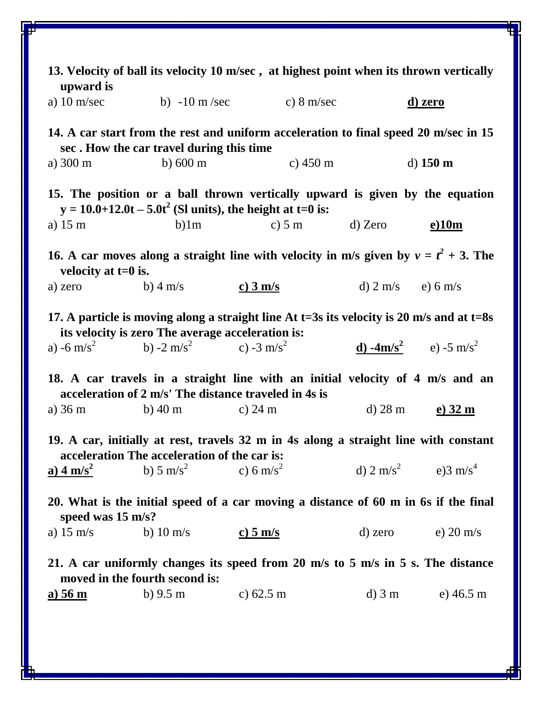| 13. Velocity of ball its velocity 10 m/sec, at highest point when its thrown vertically<br>upward is                                           |                                                                      |                                   |                                           |                                                      |  |  |  |  |
|------------------------------------------------------------------------------------------------------------------------------------------------|----------------------------------------------------------------------|-----------------------------------|-------------------------------------------|------------------------------------------------------|--|--|--|--|
| a) $10 \text{ m/sec}$                                                                                                                          | b) $-10 \text{ m/sec}$ c) $8 \text{ m/sec}$                          |                                   |                                           | <u>d) zero</u>                                       |  |  |  |  |
| 14. A car start from the rest and uniform acceleration to final speed 20 m/sec in 15<br>sec. How the car travel during this time               |                                                                      |                                   |                                           |                                                      |  |  |  |  |
| a) $300 \text{ m}$                                                                                                                             | b) $600 \text{ m}$                                                   | c) $450 \text{ m}$                |                                           | d) $150 \text{ m}$                                   |  |  |  |  |
| 15. The position or a ball thrown vertically upward is given by the equation<br>$y = 10.0 + 12.0t - 5.0t^2$ (SI units), the height at t=0 is:  |                                                                      |                                   |                                           |                                                      |  |  |  |  |
| a) $15 \text{ m}$                                                                                                                              | $b)$ 1m                                                              | c) 5 m d) Zero                    |                                           | <u>e)10m</u>                                         |  |  |  |  |
| 16. A car moves along a straight line with velocity in m/s given by $v = t^2 + 3$ . The<br>velocity at $t=0$ is.                               |                                                                      |                                   |                                           |                                                      |  |  |  |  |
| a) zero                                                                                                                                        | b) $4 \text{ m/s}$                                                   | $c)$ 3 m/s                        | d) $2 \text{ m/s}$ e) $6 \text{ m/s}$     |                                                      |  |  |  |  |
| 17. A particle is moving along a straight line At t=3s its velocity is 20 m/s and at t=8s<br>its velocity is zero The average acceleration is: |                                                                      |                                   |                                           |                                                      |  |  |  |  |
|                                                                                                                                                | a) -6 m/s <sup>2</sup> b) -2 m/s <sup>2</sup> c) -3 m/s <sup>2</sup> |                                   |                                           | <b>d</b> ) -4m/s <sup>2</sup> e) -5 m/s <sup>2</sup> |  |  |  |  |
| 18. A car travels in a straight line with an initial velocity of 4 m/s and an<br>acceleration of 2 m/s' The distance traveled in 4s is         |                                                                      |                                   |                                           |                                                      |  |  |  |  |
| a) $36 \text{ m}$                                                                                                                              | b) 40 m c) 24 m                                                      |                                   | $d)$ 28 m                                 | $e)$ 32 m                                            |  |  |  |  |
| 19. A car, initially at rest, travels 32 m in 4s along a straight line with constant<br>acceleration The acceleration of the car is:           |                                                                      |                                   |                                           |                                                      |  |  |  |  |
| $\frac{a}{2}$ 4 m/s <sup>2</sup>                                                                                                               | b) 5 m/s <sup>2</sup>                                                | c) 6 m/s <sup>2</sup>             | d) $2 \text{ m/s}^2$ e) $3 \text{ m/s}^4$ |                                                      |  |  |  |  |
| 20. What is the initial speed of a car moving a distance of 60 m in 6s if the final<br>speed was 15 m/s?                                       |                                                                      |                                   |                                           |                                                      |  |  |  |  |
| a) $15 \text{ m/s}$                                                                                                                            | b) 10 m/s                                                            | $\frac{\text{c}}{\text{c}}$ 5 m/s |                                           | d) zero $e)$ 20 m/s                                  |  |  |  |  |
| 21. A car uniformly changes its speed from 20 m/s to 5 m/s in 5 s. The distance<br>moved in the fourth second is:                              |                                                                      |                                   |                                           |                                                      |  |  |  |  |
| <u>a) 56 m</u>                                                                                                                                 | b) $9.5 \text{ m}$                                                   | c) $62.5 \text{ m}$               | $d)$ 3 m                                  | e) $46.5 \text{ m}$                                  |  |  |  |  |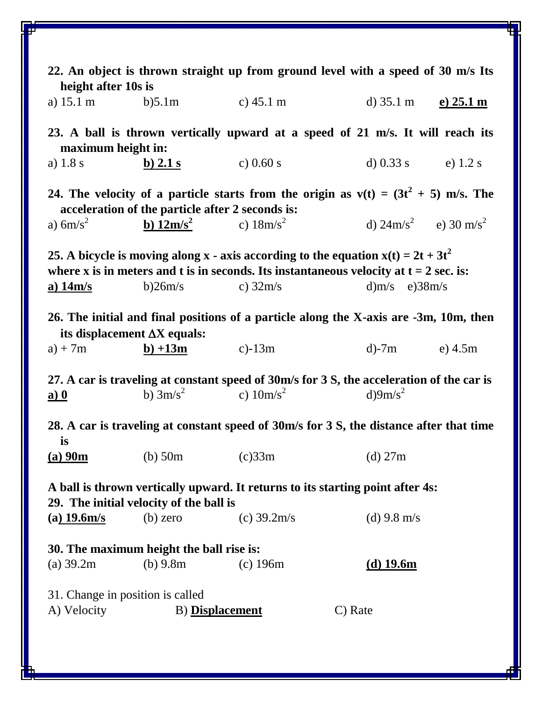| 22. An object is thrown straight up from ground level with a speed of 30 m/s Its<br>height after 10s is                                                                                           |                                                       |                                                                                         |                                            |              |  |  |  |  |
|---------------------------------------------------------------------------------------------------------------------------------------------------------------------------------------------------|-------------------------------------------------------|-----------------------------------------------------------------------------------------|--------------------------------------------|--------------|--|--|--|--|
| a) $15.1 \text{ m}$ b) $5.1 \text{ m}$                                                                                                                                                            |                                                       | c) $45.1 \text{ m}$                                                                     | d) $35.1 \text{ m}$                        | $(e)$ 25.1 m |  |  |  |  |
| 23. A ball is thrown vertically upward at a speed of 21 m/s. It will reach its<br>maximum height in:                                                                                              |                                                       |                                                                                         |                                            |              |  |  |  |  |
| a) $1.8 s$                                                                                                                                                                                        | $b)$ 2.1 s                                            | c) $0.60 s$                                                                             | d) $0.33$ s e) $1.2$ s                     |              |  |  |  |  |
| 24. The velocity of a particle starts from the origin as $v(t) = (3t^2 + 5)$ m/s. The<br>acceleration of the particle after 2 seconds is:                                                         |                                                       |                                                                                         |                                            |              |  |  |  |  |
| a) $6m/s^2$                                                                                                                                                                                       | <b>b</b> ) $12m/s^2$ c) $18m/s^2$                     |                                                                                         | d) $24 \text{m/s}^2$ e) $30 \text{ m/s}^2$ |              |  |  |  |  |
| 25. A bicycle is moving along x - axis according to the equation $x(t) = 2t + 3t^2$<br>where x is in meters and t is in seconds. Its instantaneous velocity at $t = 2$ sec. is:                   |                                                       |                                                                                         |                                            |              |  |  |  |  |
| <u>a) 14m/s</u>                                                                                                                                                                                   | b)26m/s                                               | c) $32m/s$                                                                              | d) $m/s$ e) $38m/s$                        |              |  |  |  |  |
| 26. The initial and final positions of a particle along the X-axis are -3m, 10m, then<br>its displacement $\Delta X$ equals:                                                                      |                                                       |                                                                                         |                                            |              |  |  |  |  |
| $a) + 7m$                                                                                                                                                                                         | $\frac{b)+13m}{c}$ c)-13m                             |                                                                                         | d)-7m e) 4.5m                              |              |  |  |  |  |
| 27. A car is traveling at constant speed of 30m/s for 3 S, the acceleration of the car is<br>b) $3m/s^2$ c) $10m/s^2$<br>$d$ )9m/s <sup>2</sup><br>$\underline{\mathbf{a}}\underline{\mathbf{0}}$ |                                                       |                                                                                         |                                            |              |  |  |  |  |
|                                                                                                                                                                                                   |                                                       | 28. A car is traveling at constant speed of 30m/s for 3 S, the distance after that time |                                            |              |  |  |  |  |
| is                                                                                                                                                                                                | (a) $90m$ (b) $50m$ (c) $33m$                         | (d) $27m$                                                                               |                                            |              |  |  |  |  |
| A ball is thrown vertically upward. It returns to its starting point after 4s:                                                                                                                    |                                                       |                                                                                         |                                            |              |  |  |  |  |
| $(a)$ 19.6m/s                                                                                                                                                                                     | 29. The initial velocity of the ball is<br>$(b)$ zero | (c) $39.2 \text{m/s}$                                                                   | (d) $9.8 \text{ m/s}$                      |              |  |  |  |  |
| 30. The maximum height the ball rise is:<br>(a) 39.2m<br>(b) $9.8m$<br>(d) $19.6m$<br>$(c)$ 196 $m$                                                                                               |                                                       |                                                                                         |                                            |              |  |  |  |  |
| 31. Change in position is called<br>A) Velocity<br><b>B</b> ) Displacement<br>C) Rate                                                                                                             |                                                       |                                                                                         |                                            |              |  |  |  |  |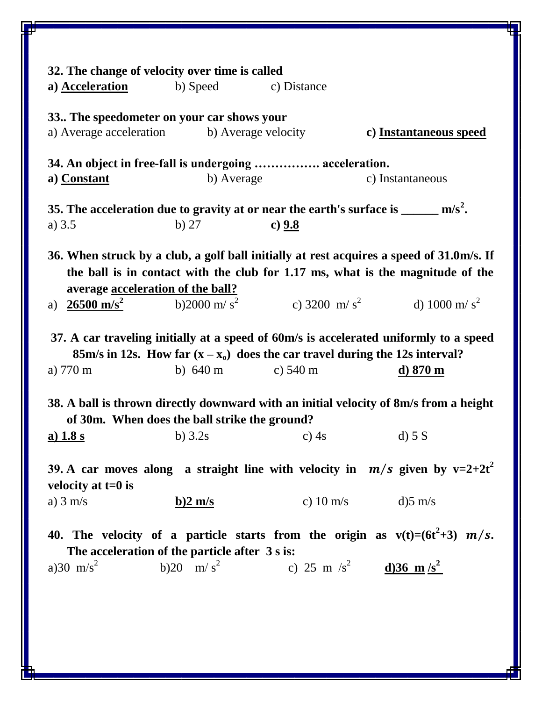| 32. The change of velocity over time is called                                                                                                                                                                                           |                   |             |                                                   |  |  |  |  |
|------------------------------------------------------------------------------------------------------------------------------------------------------------------------------------------------------------------------------------------|-------------------|-------------|---------------------------------------------------|--|--|--|--|
| a) Acceleration                                                                                                                                                                                                                          | b) Speed          | c) Distance |                                                   |  |  |  |  |
| 33. The speedometer on your car shows your                                                                                                                                                                                               |                   |             |                                                   |  |  |  |  |
| a) Average acceleration b) Average velocity                                                                                                                                                                                              |                   |             | c) Instantaneous speed                            |  |  |  |  |
| 34. An object in free-fall is undergoing  acceleration.                                                                                                                                                                                  |                   |             |                                                   |  |  |  |  |
| a) Constant                                                                                                                                                                                                                              | b) Average        |             | c) Instantaneous                                  |  |  |  |  |
| 35. The acceleration due to gravity at or near the earth's surface is $\frac{m}{s^2}$ .                                                                                                                                                  |                   |             |                                                   |  |  |  |  |
| a) $3.5$                                                                                                                                                                                                                                 | $b)$ 27           | c) $9.8$    |                                                   |  |  |  |  |
| 36. When struck by a club, a golf ball initially at rest acquires a speed of 31.0m/s. If<br>the ball is in contact with the club for 1.17 ms, what is the magnitude of the<br>average acceleration of the ball?                          |                   |             |                                                   |  |  |  |  |
| $26500 \text{ m/s}^2$ b)2000 m/s <sup>2</sup><br>a)                                                                                                                                                                                      |                   |             | c) 3200 m/s <sup>2</sup> d) 1000 m/s <sup>2</sup> |  |  |  |  |
| 37. A car traveling initially at a speed of 60m/s is accelerated uniformly to a speed<br>85m/s in 12s. How far $(x - x_0)$ does the car travel during the 12s interval?<br>b) $640 \text{ m}$ c) $540 \text{ m}$<br>a) 770 m<br>d) 870 m |                   |             |                                                   |  |  |  |  |
| 38. A ball is thrown directly downward with an initial velocity of 8m/s from a height<br>of 30m. When does the ball strike the ground?                                                                                                   |                   |             |                                                   |  |  |  |  |
| a) $1.8 s$                                                                                                                                                                                                                               | b) $3.2s$         | c) $4s$     | $d)$ 5 S                                          |  |  |  |  |
| 39. A car moves along a straight line with velocity in $m/s$ given by v=2+2t <sup>2</sup><br>velocity at $t=0$ is                                                                                                                        |                   |             |                                                   |  |  |  |  |
| a) $3 \text{ m/s}$                                                                                                                                                                                                                       | $b)2 \text{ m/s}$ |             | c) $10 \text{ m/s}$ d) 5 m/s                      |  |  |  |  |
| 40. The velocity of a particle starts from the origin as $v(t)=(6t^2+3)$ $m/s$ .<br>The acceleration of the particle after 3 s is:                                                                                                       |                   |             |                                                   |  |  |  |  |
| a)30 m/s <sup>2</sup> b)20 m/s <sup>2</sup> c) 25 m/s <sup>2</sup> d)36 m/s <sup>2</sup>                                                                                                                                                 |                   |             |                                                   |  |  |  |  |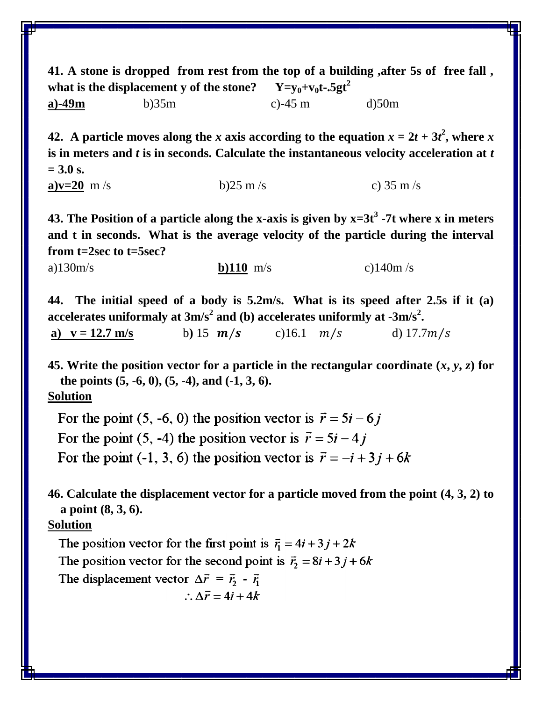**41. A stone is dropped from rest from the top of a building ,after 5s of free fall , what is the displacement y of the stone?**  $Y=y_0+v_0t-5gt^2$ **a)-49m** b)35m c)-45 m d)50m

**42.** A particle moves along the *x* axis according to the equation  $x = 2t + 3t^2$ , where *x* **is in meters and** *t* **is in seconds. Calculate the instantaneous velocity acceleration at** *t* **= 3.0 s.** 

```
a)v=20 m/s b)25 m/s c) 35 m/s
```
**43. The Position of a particle along the x-axis is given by x=3t<sup>3</sup> -7t where x in meters and t in seconds. What is the average velocity of the particle during the interval from t=2sec to t=5sec?**

a)130m/s **b)110** m/s c)140m /s

**44. The initial speed of a body is 5.2m/s. What is its speed after 2.5s if it (a)**  <code>accelerates</code> uniformaly at 3m/s $^2$  and (b) accelerates uniformly at -3m/s $^2$ .

**a**)  $v = 12.7$  m/s **b**) 15  $m/s$  **c**)16.1  $m/s$  **d**) 17.7 $m/s$ 

**45.** Write the position vector for a particle in the rectangular coordinate  $(x, y, z)$  for **the points (5, -6, 0), (5, -4), and (-1, 3, 6).**

**Solution**

For the point (5, -6, 0) the position vector is  $\vec{r} = 5i - 6i$ For the point (5, -4) the position vector is  $\vec{r} = 5i - 4j$ For the point (-1, 3, 6) the position vector is  $\vec{r} = -\vec{i} + 3\vec{j} + 6\vec{k}$ 

**46. Calculate the displacement vector for a particle moved from the point (4, 3, 2) to a point (8, 3, 6).**

## **Solution**

The position vector for the first point is  $\vec{r}_1 = 4i + 3j + 2k$ The position vector for the second point is  $\vec{r}_2 = 8i + 3j + 6k$ The displacement vector  $\Delta \vec{r} = \vec{r}_2 - \vec{r}_1$ 

$$
\therefore \Delta \vec{r} = 4i + 4k
$$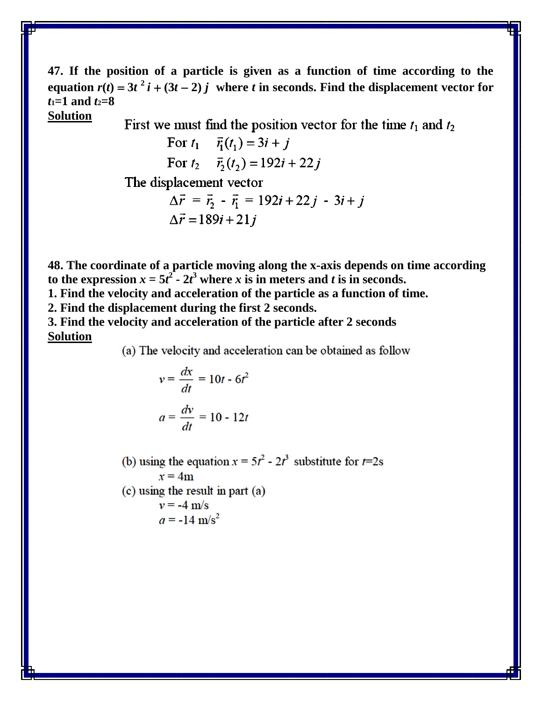**47. If the position of a particle is given as a function of time according to the equation**  $r(t) = 3t^2 i + (3t - 2) j$  where *t* in seconds. Find the displacement vector for *t***1=1 and** *t***2=8 Solution**

First we must find the position vector for the time  $t_1$  and  $t_2$ 

For 
$$
t_1
$$
  $\vec{r}_1(t_1) = 3i + j$   
For  $t_2$   $\vec{r}_2(t_2) = 192i + 22j$ 

The displacement vector

$$
\Delta \vec{r} = \vec{r}_2 - \vec{r}_1 = 192i + 22j - 3i + j
$$
  

$$
\Delta \vec{r} = 189i + 21j
$$

**48. The coordinate of a particle moving along the x-axis depends on time according**  to the expression  $x = 5t^2 - 2t^3$  where *x* is in meters and *t* is in seconds.

**1. Find the velocity and acceleration of the particle as a function of time.**

**2. Find the displacement during the first 2 seconds.** 

**3. Find the velocity and acceleration of the particle after 2 seconds Solution**

(a) The velocity and acceleration can be obtained as follow

$$
v = \frac{dx}{dt} = 10t - 6t^2
$$

$$
a = \frac{dv}{dt} = 10 - 12t
$$

(b) using the equation  $x = 5t^2 - 2t^3$  substitute for  $t=2s$  $x = 4m$  $(c)$  using the result in part  $(a)$  $v = -4$  m/s  $a = -14$  m/s<sup>2</sup>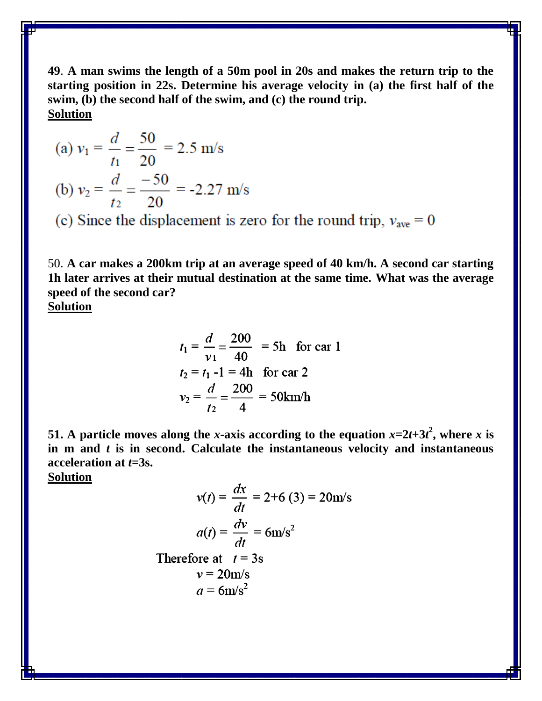**49**. **A man swims the length of a 50m pool in 20s and makes the return trip to the starting position in 22s. Determine his average velocity in (a) the first half of the swim, (b) the second half of the swim, and (c) the round trip. Solution**

(a) 
$$
v_1 = \frac{d}{t_1} = \frac{50}{20} = 2.5 \text{ m/s}
$$
  
\n(b)  $v_2 = \frac{d}{t_2} = \frac{-50}{20} = -2.27 \text{ m/s}$   
\n(c) Since the displacement is zero for the round trip,  $v_{\text{ave}} = 0$ 

50. **A car makes a 200km trip at an average speed of 40 km/h. A second car starting 1h later arrives at their mutual destination at the same time. What was the average speed of the second car?**

**Solution**

$$
t_1 = \frac{d}{v_1} = \frac{200}{40} = 5h \text{ for car 1}
$$
  
\n
$$
t_2 = t_1 - 1 = 4h \text{ for car 2}
$$
  
\n
$$
v_2 = \frac{d}{t_2} = \frac{200}{4} = 50 \text{ km/h}
$$

**51.** A particle moves along the *x*-axis according to the equation  $x=2t+3t^2$ , where *x* is **in m and** *t* **is in second. Calculate the instantaneous velocity and instantaneous acceleration at** *t***=3s.**

**Solution**

$$
v(t) = \frac{dx}{dt} = 2+6(3) = 20 \text{m/s}
$$

$$
a(t) = \frac{dv}{dt} = 6 \text{m/s}^2
$$
Therefore at  $t = 3\text{s}$ 
$$
v = 20 \text{m/s}
$$

$$
a = 6 \text{m/s}^2
$$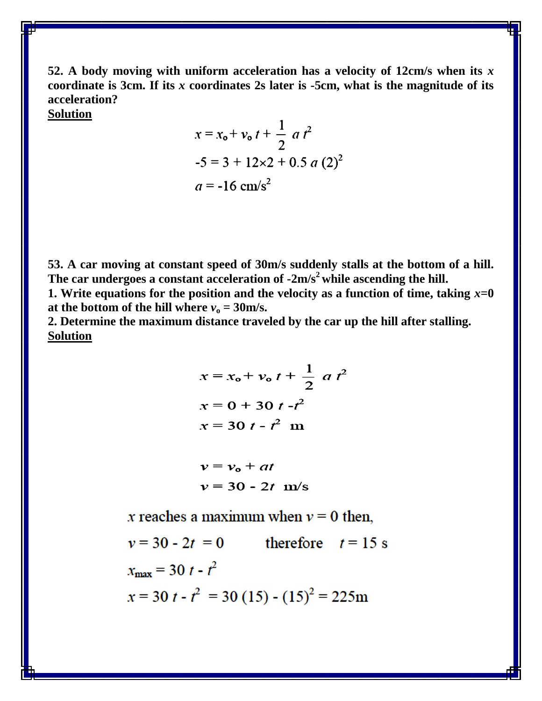**52. A body moving with uniform acceleration has a velocity of 12cm/s when its** *x*  **coordinate is 3cm. If its** *x* **coordinates 2s later is -5cm, what is the magnitude of its acceleration?**

**Solution**

$$
x = x_0 + v_0 t + \frac{1}{2} a t^2
$$
  
-5 = 3 + 12×2 + 0.5 a (2)<sup>2</sup>  

$$
a = -16 \text{ cm/s}^2
$$

**53. A car moving at constant speed of 30m/s suddenly stalls at the bottom of a hill. The car undergoes a constant acceleration of -2m/s<sup>2</sup>while ascending the hill.** 

**1. Write equations for the position and the velocity as a function of time, taking**  $x=0$ at the bottom of the hill where  $v_0 = 30$ m/s.

**2. Determine the maximum distance traveled by the car up the hill after stalling. Solution**

$$
x = x_0 + v_0 t + \frac{1}{2} a t^2
$$
  

$$
x = 0 + 30 t - t^2
$$
  

$$
x = 30 t - t^2
$$
 m

$$
v = v_0 + at
$$
  

$$
v = 30 - 2t
$$
 m/s

x reaches a maximum when  $v = 0$  then.

therefore  $t = 15$  s  $v = 30 - 2t = 0$  $x_{\text{max}} = 30 t - t^2$  $x = 30 t - t^2 = 30 (15) - (15)^2 = 225$ m